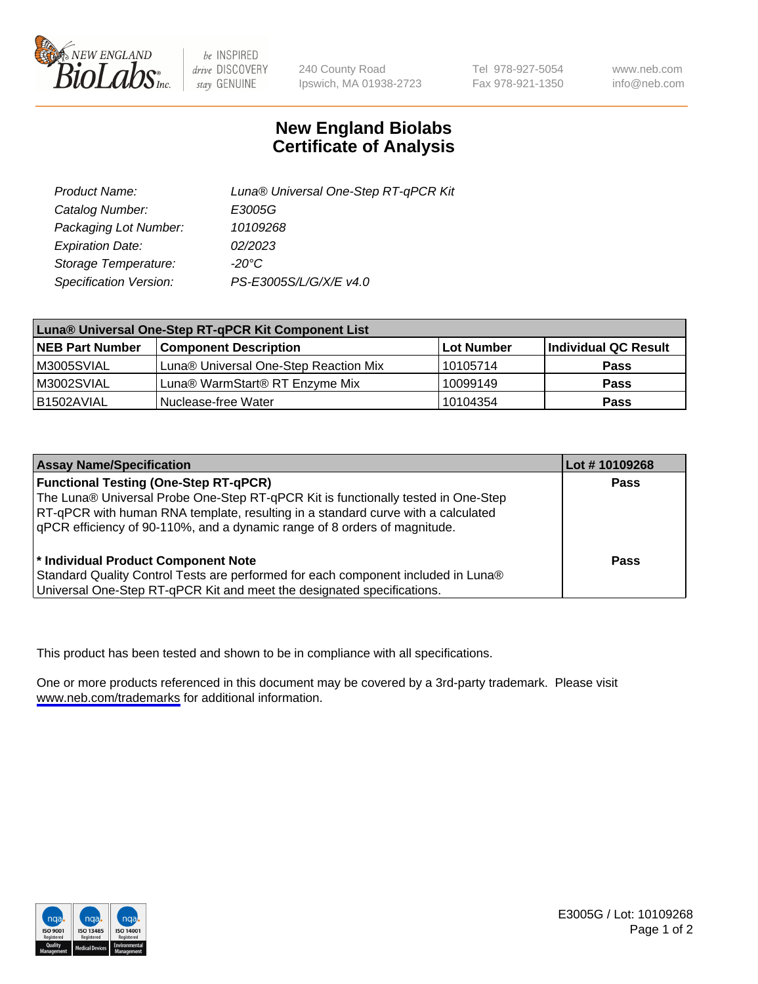

be INSPIRED drive DISCOVERY stay GENUINE

240 County Road Ipswich, MA 01938-2723 Tel 978-927-5054 Fax 978-921-1350

www.neb.com info@neb.com

## **New England Biolabs Certificate of Analysis**

| Product Name:           | Luna® Universal One-Step RT-qPCR Kit |
|-------------------------|--------------------------------------|
| Catalog Number:         | E3005G                               |
| Packaging Lot Number:   | 10109268                             |
| <b>Expiration Date:</b> | 02/2023                              |
| Storage Temperature:    | $-20^{\circ}$ C                      |
| Specification Version:  | PS-E3005S/L/G/X/E v4.0               |

| Luna® Universal One-Step RT-qPCR Kit Component List |                                       |              |                      |  |
|-----------------------------------------------------|---------------------------------------|--------------|----------------------|--|
| <b>NEB Part Number</b>                              | <b>Component Description</b>          | l Lot Number | Individual QC Result |  |
| M3005SVIAL                                          | Luna® Universal One-Step Reaction Mix | 10105714     | <b>Pass</b>          |  |
| M3002SVIAL                                          | Luna® WarmStart® RT Enzyme Mix        | 10099149     | <b>Pass</b>          |  |
| B1502AVIAL                                          | Nuclease-free Water                   | 10104354     | <b>Pass</b>          |  |

| <b>Assay Name/Specification</b>                                                   | Lot # 10109268 |
|-----------------------------------------------------------------------------------|----------------|
| <b>Functional Testing (One-Step RT-qPCR)</b>                                      | <b>Pass</b>    |
| The Luna® Universal Probe One-Step RT-qPCR Kit is functionally tested in One-Step |                |
| RT-qPCR with human RNA template, resulting in a standard curve with a calculated  |                |
| qPCR efficiency of 90-110%, and a dynamic range of 8 orders of magnitude.         |                |
| <sup>*</sup> Individual Product Component Note                                    | Pass           |
| Standard Quality Control Tests are performed for each component included in Luna® |                |
| Universal One-Step RT-qPCR Kit and meet the designated specifications.            |                |

This product has been tested and shown to be in compliance with all specifications.

One or more products referenced in this document may be covered by a 3rd-party trademark. Please visit <www.neb.com/trademarks>for additional information.